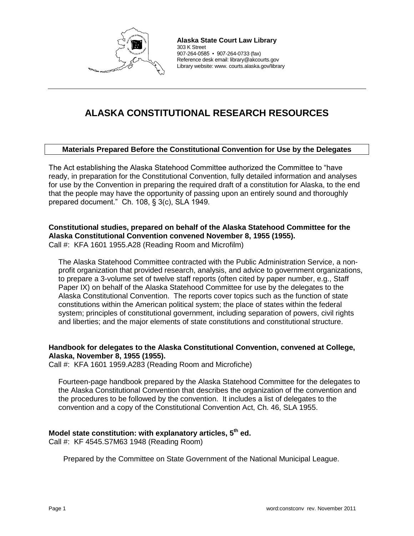

**Alaska State Court Law Library**  303 K Street 907-264-0585 ▪ 907-264-0733 (fax) Reference desk email: library@akcourts.gov Library website: www. courts.alaska.gov/library

# **ALASKA CONSTITUTIONAL RESEARCH RESOURCES**

#### **Materials Prepared Before the Constitutional Convention for Use by the Delegates**

The Act establishing the Alaska Statehood Committee authorized the Committee to "have ready, in preparation for the Constitutional Convention, fully detailed information and analyses for use by the Convention in preparing the required draft of a constitution for Alaska, to the end that the people may have the opportunity of passing upon an entirely sound and thoroughly prepared document." Ch. 108, § 3(c), SLA 1949.

## **Constitutional studies, prepared on behalf of the Alaska Statehood Committee for the Alaska Constitutional Convention convened November 8, 1955 (1955).**

Call #: KFA 1601 1955.A28 (Reading Room and Microfilm)

The Alaska Statehood Committee contracted with the Public Administration Service, a nonprofit organization that provided research, analysis, and advice to government organizations, to prepare a 3-volume set of twelve staff reports (often cited by paper number, e.g., Staff Paper IX) on behalf of the Alaska Statehood Committee for use by the delegates to the Alaska Constitutional Convention. The reports cover topics such as the function of state constitutions within the American political system; the place of states within the federal system; principles of constitutional government, including separation of powers, civil rights and liberties; and the major elements of state constitutions and constitutional structure.

#### **Handbook for delegates to the Alaska Constitutional Convention, convened at College, Alaska, November 8, 1955 (1955).**

Call #: KFA 1601 1959.A283 (Reading Room and Microfiche)

Fourteen-page handbook prepared by the Alaska Statehood Committee for the delegates to the Alaska Constitutional Convention that describes the organization of the convention and the procedures to be followed by the convention. It includes a list of delegates to the convention and a copy of the Constitutional Convention Act, Ch. 46, SLA 1955.

#### **Model state constitution: with explanatory articles, 5th ed.**

Call #: KF 4545.S7M63 1948 (Reading Room)

Prepared by the Committee on State Government of the National Municipal League.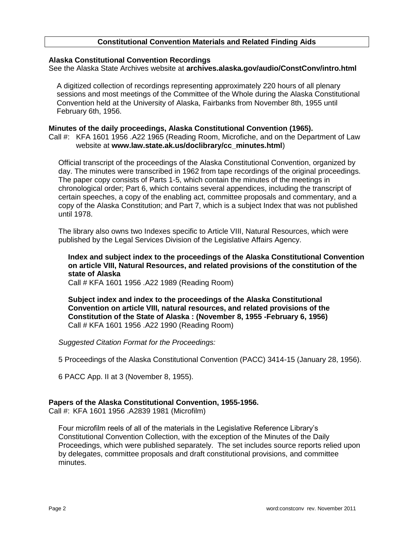#### **Constitutional Convention Materials and Related Finding Aids**

#### **Alaska Constitutional Convention Recordings**

See the Alaska State Archives website at **archives.alaska.gov/audio/ConstConv/intro.html** 

A digitized collection of recordings representing approximately 220 hours of all plenary sessions and most meetings of the Committee of the Whole during the Alaska Constitutional Convention held at the University of Alaska, Fairbanks from November 8th, 1955 until February 6th, 1956.

#### **Minutes of the daily proceedings, Alaska Constitutional Convention (1965).**

Call #: KFA 1601 1956 .A22 1965 (Reading Room, Microfiche, and on the Department of Law website at **[www.law.state.ak.us/doclibrary/cc\\_minutes.html](http://www.law.state.ak.us/doclibrary/cc_minutes.html)**)

Official transcript of the proceedings of the Alaska Constitutional Convention, organized by day. The minutes were transcribed in 1962 from tape recordings of the original proceedings. The paper copy consists of Parts 1-5, which contain the minutes of the meetings in chronological order; Part 6, which contains several appendices, including the transcript of certain speeches, a copy of the enabling act, committee proposals and commentary, and a copy of the Alaska Constitution; and Part 7, which is a subject Index that was not published until 1978.

The library also owns two Indexes specific to Article VIII, Natural Resources, which were published by the Legal Services Division of the Legislative Affairs Agency.

#### **Index and subject index to the proceedings of the Alaska Constitutional Convention on article VIII, Natural Resources, and related provisions of the constitution of the state of Alaska**

Call # KFA 1601 1956 .A22 1989 (Reading Room)

**Subject index and index to the proceedings of the Alaska Constitutional Convention on article VIII, natural resources, and related provisions of the Constitution of the State of Alaska : (November 8, 1955 -February 6, 1956)** Call # KFA 1601 1956 .A22 1990 (Reading Room)

*Suggested Citation Format for the Proceedings:* 

5 Proceedings of the Alaska Constitutional Convention (PACC) 3414-15 (January 28, 1956).

6 PACC App. II at 3 (November 8, 1955).

#### **Papers of the Alaska Constitutional Convention, 1955-1956.**

Call #: KFA 1601 1956 .A2839 1981 (Microfilm)

Four microfilm reels of all of the materials in the Legislative Reference Library's Constitutional Convention Collection, with the exception of the Minutes of the Daily Proceedings, which were published separately. The set includes source reports relied upon by delegates, committee proposals and draft constitutional provisions, and committee minutes.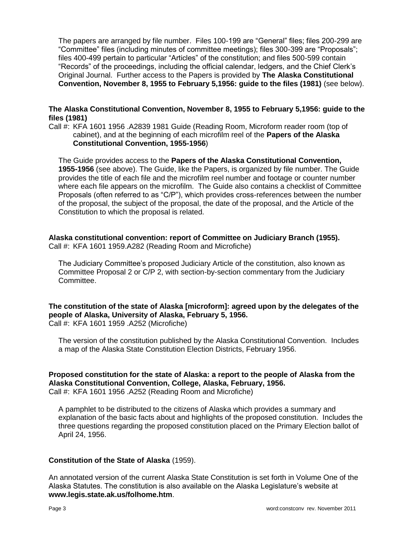The papers are arranged by file number. Files 100-199 are "General" files; files 200-299 are "Committee" files (including minutes of committee meetings); files 300-399 are "Proposals"; files 400-499 pertain to particular "Articles" of the constitution; and files 500-599 contain "Records" of the proceedings, including the official calendar, ledgers, and the Chief Clerk's Original Journal. Further access to the Papers is provided by **The Alaska Constitutional Convention, November 8, 1955 to February 5,1956: guide to the files (1981)** (see below).

#### **The Alaska Constitutional Convention, November 8, 1955 to February 5,1956: guide to the files (1981)**

Call #: KFA 1601 1956 .A2839 1981 Guide (Reading Room, Microform reader room (top of cabinet), and at the beginning of each microfilm reel of the **Papers of the Alaska Constitutional Convention, 1955-1956**)

The Guide provides access to the **Papers of the Alaska Constitutional Convention, 1955-1956** (see above). The Guide, like the Papers, is organized by file number. The Guide provides the title of each file and the microfilm reel number and footage or counter number where each file appears on the microfilm. The Guide also contains a checklist of Committee Proposals (often referred to as "C/P"), which provides cross-references between the number of the proposal, the subject of the proposal, the date of the proposal, and the Article of the Constitution to which the proposal is related.

# **Alaska constitutional convention: report of Committee on Judiciary Branch (1955).**

Call #: KFA 1601 1959.A282 (Reading Room and Microfiche)

The Judiciary Committee's proposed Judiciary Article of the constitution, also known as Committee Proposal 2 or C/P 2, with section-by-section commentary from the Judiciary Committee.

**The constitution of the state of Alaska [microform]: agreed upon by the delegates of the people of Alaska, University of Alaska, February 5, 1956.** Call #: KFA 1601 1959 .A252 (Microfiche)

The version of the constitution published by the Alaska Constitutional Convention. Includes a map of the Alaska State Constitution Election Districts, February 1956.

#### **Proposed constitution for the state of Alaska: a report to the people of Alaska from the Alaska Constitutional Convention, College, Alaska, February, 1956.** Call #: KFA 1601 1956 .A252 (Reading Room and Microfiche)

A pamphlet to be distributed to the citizens of Alaska which provides a summary and explanation of the basic facts about and highlights of the proposed constitution. Includes the three questions regarding the proposed constitution placed on the Primary Election ballot of April 24, 1956.

#### **Constitution of the State of Alaska** (1959).

An annotated version of the current Alaska State Constitution is set forth in Volume One of the Alaska Statutes. The constitution is also available on the Alaska Legislature's website at **[www.legis.state.ak.us/folhome.htm](http://www.legis.state.ak.us/cgi-bin/folioisa.dll/acontxt/query=*/doc/%7bt1)**.